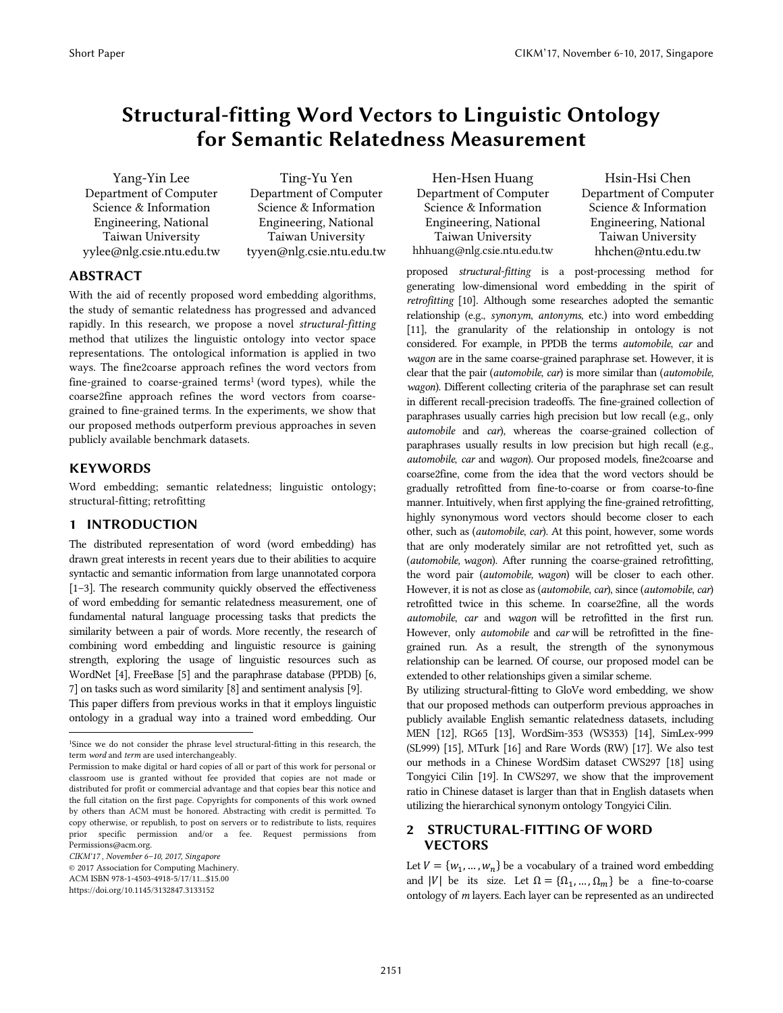# Structural-fitting Word Vectors to Linguistic Ontology for Semantic Relatedness Measurement

Yang-Yin Lee Department of Computer Science & Information Engineering, National Taiwan University yylee@nlg.csie.ntu.edu.tw

Ting-Yu Yen Department of Computer Science & Information Engineering, National Taiwan University tyyen@nlg.csie.ntu.edu.tw

## ABSTRACT

With the aid of recently proposed word embedding algorithms, the study of semantic relatedness has progressed and advanced rapidly. In this research, we propose a novel *structural-fitting* method that utilizes the linguistic ontology into vector space representations. The ontological information is applied in two ways. The fine2coarse approach refines the word vectors from fine-grained to coarse-grained terms<sup>1</sup> (word types), while the coarse2fine approach refines the word vectors from coarsegrained to fine-grained terms. In the experiments, we show that our proposed methods outperform previous approaches in seven publicly available benchmark datasets.

### KEYWORDS

j

Word embedding; semantic relatedness; linguistic ontology; structural-fitting; retrofitting

# 1 INTRODUCTION

The distributed representation of word (word embedding) has drawn great interests in recent years due to their abilities to acquire syntactic and semantic information from large unannotated corpora [1–3]. The research community quickly observed the effectiveness of word embedding for semantic relatedness measurement, one of fundamental natural language processing tasks that predicts the similarity between a pair of words. More recently, the research of combining word embedding and linguistic resource is gaining strength, exploring the usage of linguistic resources such as WordNet [4], FreeBase [5] and the paraphrase database (PPDB) [6, 7] on tasks such as word similarity [8] and sentiment analysis [9]. This paper differs from previous works in that it employs linguistic ontology in a gradual way into a trained word embedding. Our

Hen-Hsen Huang Department of Computer Science & Information Engineering, National Taiwan University hhhuang@nlg.csie.ntu.edu.tw

Hsin-Hsi Chen Department of Computer Science & Information Engineering, National Taiwan University hhchen@ntu.edu.tw

proposed *structural-fitting* is a post-processing method for generating low-dimensional word embedding in the spirit of *retrofitting* [10]. Although some researches adopted the semantic relationship (e.g., *synonym*, *antonyms*, etc.) into word embedding [11], the granularity of the relationship in ontology is not considered. For example, in PPDB the terms *automobile*, *car* and *wagon* are in the same coarse-grained paraphrase set. However, it is clear that the pair (*automobile*, *car*) is more similar than (*automobile, wagon*). Different collecting criteria of the paraphrase set can result in different recall-precision tradeoffs. The fine-grained collection of paraphrases usually carries high precision but low recall (e.g., only *automobile* and *car*), whereas the coarse-grained collection of paraphrases usually results in low precision but high recall (e.g., *automobile*, *car* and *wagon*). Our proposed models, fine2coarse and coarse2fine, come from the idea that the word vectors should be gradually retrofitted from fine-to-coarse or from coarse-to-fine manner. Intuitively, when first applying the fine-grained retrofitting, highly synonymous word vectors should become closer to each other, such as (*automobile*, *car*). At this point, however, some words that are only moderately similar are not retrofitted yet, such as (*automobile, wagon*). After running the coarse-grained retrofitting, the word pair (*automobile, wagon*) will be closer to each other. However, it is not as close as (*automobile*, *car*), since (*automobile*, *car*) retrofitted twice in this scheme. In coarse2fine, all the words *automobile*, *car* and *wagon* will be retrofitted in the first run. However, only *automobile* and *car* will be retrofitted in the finegrained run. As a result, the strength of the synonymous relationship can be learned. Of course, our proposed model can be extended to other relationships given a similar scheme.

By utilizing structural-fitting to GloVe word embedding, we show that our proposed methods can outperform previous approaches in publicly available English semantic relatedness datasets, including MEN [12], RG65 [13], WordSim-353 (WS353) [14], SimLex-999 (SL999) [15], MTurk [16] and Rare Words (RW) [17]. We also test our methods in a Chinese WordSim dataset CWS297 [18] using Tongyici Cilin [19]. In CWS297, we show that the improvement ratio in Chinese dataset is larger than that in English datasets when utilizing the hierarchical synonym ontology Tongyici Cilin.

# 2 STRUCTURAL-FITTING OF WORD **VECTORS**

Let  $V = \{w_1, ..., w_n\}$  be a vocabulary of a trained word embedding and |V| be its size. Let  $\Omega = {\Omega_1, ..., \Omega_m}$  be a fine-to-coarse ontology of *m* layers. Each layer can be represented as an undirected

<sup>1</sup>Since we do not consider the phrase level structural-fitting in this research, the term *word* and *term* are used interchangeably.

Permission to make digital or hard copies of all or part of this work for personal or classroom use is granted without fee provided that copies are not made or distributed for profit or commercial advantage and that copies bear this notice and the full citation on the first page. Copyrights for components of this work owned by others than ACM must be honored. Abstracting with credit is permitted. To copy otherwise, or republish, to post on servers or to redistribute to lists, requires prior specific permission and/or a fee. Request permissions from Permissions@acm.org.

*CIKM'17 , November 6–10, 2017, Singapore* 

<sup>© 2017</sup> Association for Computing Machinery. ACM ISBN 978-1-4503-4918-5/17/11...\$15.00

https://doi.org/10.1145/3132847.3133152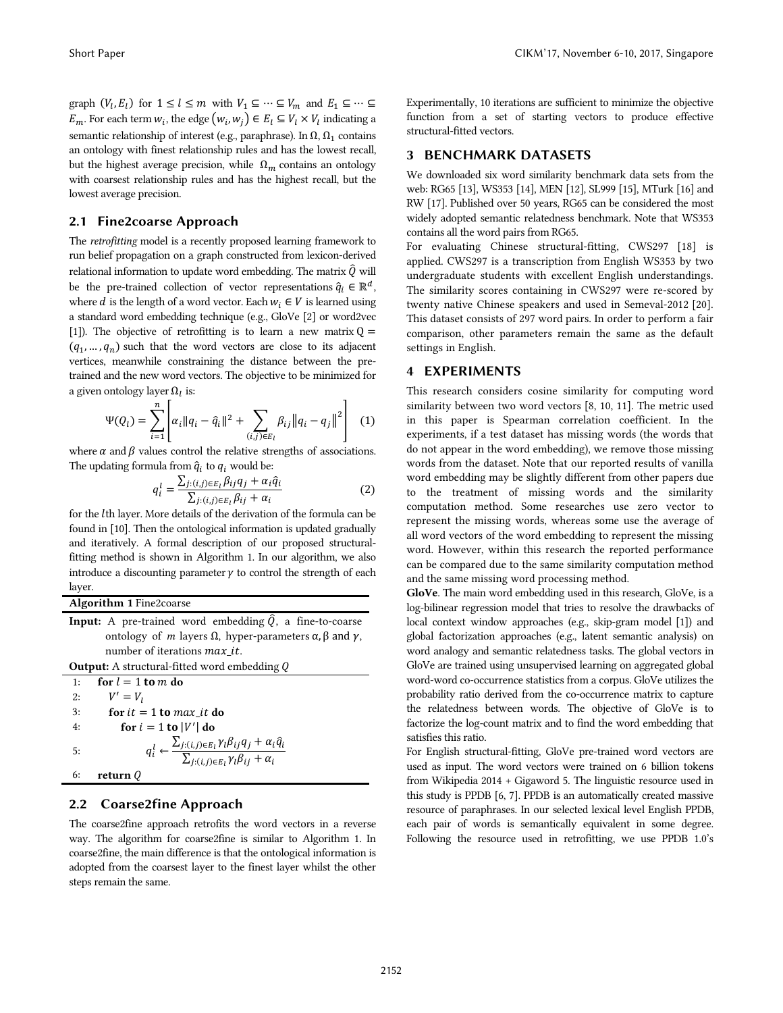graph  $(V_l, E_l)$  for  $1 \leq l \leq m$  with  $V_1 \subseteq \cdots \subseteq V_m$  and  $E_1 \subseteq \cdots \subseteq$  $E_m$ . For each term  $w_i$ , the edge  $(w_i, w_j) \in E_l \subseteq V_l \times V_l$  indicating a semantic relationship of interest (e.g., paraphrase). In  $\Omega$ ,  $\Omega_1$  contains an ontology with finest relationship rules and has the lowest recall, but the highest average precision, while  $\Omega_m$  contains an ontology with coarsest relationship rules and has the highest recall, but the lowest average precision.

#### 2.1 Fine2coarse Approach

The *retrofitting* model is a recently proposed learning framework to run belief propagation on a graph constructed from lexicon-derived relational information to update word embedding. The matrix  $\hat{Q}$  will be the pre-trained collection of vector representations  $\hat{q}_i \in \mathbb{R}^d$ , where *d* is the length of a word vector. Each  $w_i \in V$  is learned using a standard word embedding technique (e.g., GloVe [2] or word2vec [1]). The objective of retrofitting is to learn a new matrix  $Q =$  $(q_1, ..., q_n)$  such that the word vectors are close to its adjacent vertices, meanwhile constraining the distance between the pretrained and the new word vectors. The objective to be minimized for a given ontology layer  $\Omega_l$  is:

$$
\Psi(Q_l) = \sum_{i=1}^{n} \left[ \alpha_i \|q_i - \hat{q}_i\|^2 + \sum_{(i,j) \in E_l} \beta_{ij} \|q_i - q_j\|^2 \right] \tag{1}
$$

where  $\alpha$  and  $\beta$  values control the relative strengths of associations. The updating formula from  $\hat{q}_i$  to  $q_i$  would be:

$$
q_i^l = \frac{\sum_{j:(i,j)\in E_l} \beta_{ij} q_j + \alpha_i \hat{q}_i}{\sum_{j:(i,j)\in E_l} \beta_{ij} + \alpha_i}
$$
 (2)

for the *l*th layer. More details of the derivation of the formula can be found in [10]. Then the ontological information is updated gradually and iteratively. A formal description of our proposed structuralfitting method is shown in Algorithm 1. In our algorithm, we also introduce a discounting parameter  $\gamma$  to control the strength of each layer.

Algorithm 1 Fine2coarse

|                                                                                   | <b>Input:</b> A pre-trained word embedding $\hat{Q}$ , a fine-to-coarse |  |  |  |  |
|-----------------------------------------------------------------------------------|-------------------------------------------------------------------------|--|--|--|--|
| ontology of <i>m</i> layers Ω, hyper-parameters $\alpha$ , $\beta$ and $\gamma$ , |                                                                         |  |  |  |  |
| number of iterations <i>max it</i> .                                              |                                                                         |  |  |  |  |
| <b>Output:</b> A structural-fitted word embedding $Q$                             |                                                                         |  |  |  |  |

1: for  $l = 1$  to m do 2:  $V' = V_1$ 3: for  $it = 1$  to  $max\_it$  do 4: for  $i = 1$  to  $|V'|$  do 5:  $q_i^l \leftarrow \frac{\sum_{j:(i,j) \in E_l} \gamma_l \beta_{ij} q_j + \alpha_i \hat{q}_i}{\sum_{j:(i,j) \in E_l} \gamma_l \beta_{ij} + \alpha_i}$ 6: return  $Q$ 

# 2.2 Coarse2fine Approach

The coarse2fine approach retrofits the word vectors in a reverse way. The algorithm for coarse2fine is similar to Algorithm 1. In coarse2fine, the main difference is that the ontological information is adopted from the coarsest layer to the finest layer whilst the other steps remain the same.

Experimentally, 10 iterations are sufficient to minimize the objective function from a set of starting vectors to produce effective structural-fitted vectors.

#### 3 BENCHMARK DATASETS

We downloaded six word similarity benchmark data sets from the web: RG65 [13], WS353 [14], MEN [12], SL999 [15], MTurk [16] and RW [17]. Published over 50 years, RG65 can be considered the most widely adopted semantic relatedness benchmark. Note that WS353 contains all the word pairs from RG65.

For evaluating Chinese structural-fitting, CWS297 [18] is applied. CWS297 is a transcription from English WS353 by two undergraduate students with excellent English understandings. The similarity scores containing in CWS297 were re-scored by twenty native Chinese speakers and used in Semeval-2012 [20]. This dataset consists of 297 word pairs. In order to perform a fair comparison, other parameters remain the same as the default settings in English.

#### 4 EXPERIMENTS

This research considers cosine similarity for computing word similarity between two word vectors [8, 10, 11]. The metric used in this paper is Spearman correlation coefficient. In the experiments, if a test dataset has missing words (the words that do not appear in the word embedding), we remove those missing words from the dataset. Note that our reported results of vanilla word embedding may be slightly different from other papers due to the treatment of missing words and the similarity computation method. Some researches use zero vector to represent the missing words, whereas some use the average of all word vectors of the word embedding to represent the missing word. However, within this research the reported performance can be compared due to the same similarity computation method and the same missing word processing method.

GloVe. The main word embedding used in this research, GloVe, is a log-bilinear regression model that tries to resolve the drawbacks of local context window approaches (e.g., skip-gram model [1]) and global factorization approaches (e.g., latent semantic analysis) on word analogy and semantic relatedness tasks. The global vectors in GloVe are trained using unsupervised learning on aggregated global word-word co-occurrence statistics from a corpus. GloVe utilizes the probability ratio derived from the co-occurrence matrix to capture the relatedness between words. The objective of GloVe is to factorize the log-count matrix and to find the word embedding that satisfies this ratio.

For English structural-fitting, GloVe pre-trained word vectors are used as input. The word vectors were trained on 6 billion tokens from Wikipedia 2014 + Gigaword 5. The linguistic resource used in this study is PPDB [6, 7]. PPDB is an automatically created massive resource of paraphrases. In our selected lexical level English PPDB, each pair of words is semantically equivalent in some degree. Following the resource used in retrofitting, we use PPDB 1.0's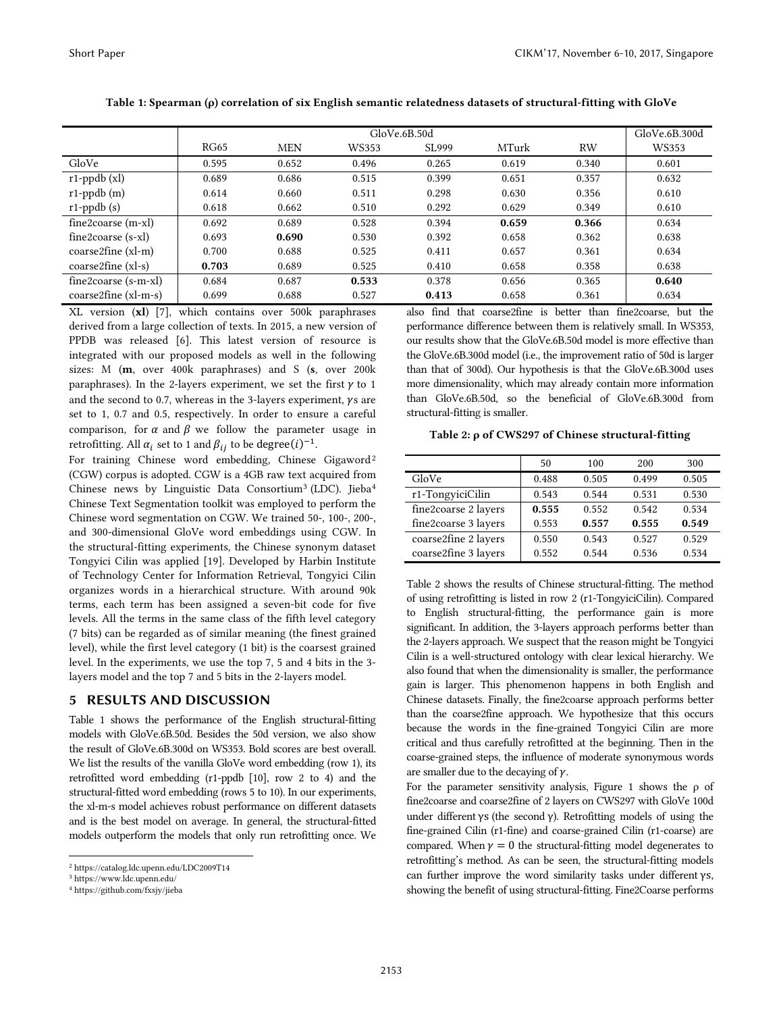|                        | GloVe.6B.50d |            |       |       |       | GloVe.6B.300d |       |
|------------------------|--------------|------------|-------|-------|-------|---------------|-------|
|                        | <b>RG65</b>  | <b>MEN</b> | WS353 | SL999 | MTurk | <b>RW</b>     | WS353 |
| GloVe                  | 0.595        | 0.652      | 0.496 | 0.265 | 0.619 | 0.340         | 0.601 |
| $r1$ -ppdb $(xl)$      | 0.689        | 0.686      | 0.515 | 0.399 | 0.651 | 0.357         | 0.632 |
| $r1$ -ppdb $(m)$       | 0.614        | 0.660      | 0.511 | 0.298 | 0.630 | 0.356         | 0.610 |
| $r1$ -ppdb $(s)$       | 0.618        | 0.662      | 0.510 | 0.292 | 0.629 | 0.349         | 0.610 |
| $fine2 coarse (m-xl)$  | 0.692        | 0.689      | 0.528 | 0.394 | 0.659 | 0.366         | 0.634 |
| $fine2 coarse(s-xl)$   | 0.693        | 0.690      | 0.530 | 0.392 | 0.658 | 0.362         | 0.638 |
| $coarse2fine$ (xl-m)   | 0.700        | 0.688      | 0.525 | 0.411 | 0.657 | 0.361         | 0.634 |
| $coarse2fine (xl-s)$   | 0.703        | 0.689      | 0.525 | 0.410 | 0.658 | 0.358         | 0.638 |
| fine2coarse (s-m-xl)   | 0.684        | 0.687      | 0.533 | 0.378 | 0.656 | 0.365         | 0.640 |
| $coarse2fine (xl-m-s)$ | 0.699        | 0.688      | 0.527 | 0.413 | 0.658 | 0.361         | 0.634 |

Table 1: Spearman (ρ) correlation of six English semantic relatedness datasets of structural-fitting with GloVe

XL version (xl) [7], which contains over 500k paraphrases derived from a large collection of texts. In 2015, a new version of PPDB was released [6]. This latest version of resource is integrated with our proposed models as well in the following sizes: M (m, over 400k paraphrases) and S (s, over 200k paraphrases). In the 2-layers experiment, we set the first  $\gamma$  to 1 and the second to 0.7, whereas in the 3-layers experiment,  $\gamma s$  are set to 1, 0.7 and 0.5, respectively. In order to ensure a careful comparison, for  $\alpha$  and  $\beta$  we follow the parameter usage in retrofitting. All  $\alpha_i$  set to 1 and  $\beta_{ii}$  to be degree( $(i)^{-1}$ .

For training Chinese word embedding, Chinese Gigaword<sup>2</sup> (CGW) corpus is adopted. CGW is a 4GB raw text acquired from Chinese news by Linguistic Data Consortium3 (LDC). Jieba4 Chinese Text Segmentation toolkit was employed to perform the Chinese word segmentation on CGW. We trained 50-, 100-, 200-, and 300-dimensional GloVe word embeddings using CGW. In the structural-fitting experiments, the Chinese synonym dataset Tongyici Cilin was applied [19]. Developed by Harbin Institute of Technology Center for Information Retrieval, Tongyici Cilin organizes words in a hierarchical structure. With around 90k terms, each term has been assigned a seven-bit code for five levels. All the terms in the same class of the fifth level category (7 bits) can be regarded as of similar meaning (the finest grained level), while the first level category (1 bit) is the coarsest grained level. In the experiments, we use the top 7, 5 and 4 bits in the 3 layers model and the top 7 and 5 bits in the 2-layers model.

#### 5 RESULTS AND DISCUSSION

Table 1 shows the performance of the English structural-fitting models with GloVe.6B.50d. Besides the 50d version, we also show the result of GloVe.6B.300d on WS353. Bold scores are best overall. We list the results of the vanilla GloVe word embedding (row 1), its retrofitted word embedding (r1-ppdb [10], row 2 to 4) and the structural-fitted word embedding (rows 5 to 10). In our experiments, the xl-m-s model achieves robust performance on different datasets and is the best model on average. In general, the structural-fitted models outperform the models that only run retrofitting once. We

1

also find that coarse2fine is better than fine2coarse, but the performance difference between them is relatively small. In WS353, our results show that the GloVe.6B.50d model is more effective than the GloVe.6B.300d model (i.e., the improvement ratio of 50d is larger than that of 300d). Our hypothesis is that the GloVe.6B.300d uses more dimensionality, which may already contain more information than GloVe.6B.50d, so the beneficial of GloVe.6B.300d from structural-fitting is smaller.

|  |  |  | Table 2: p of CWS297 of Chinese structural-fitting |
|--|--|--|----------------------------------------------------|
|--|--|--|----------------------------------------------------|

|                      | 50    | 100   | 200   | 300   |
|----------------------|-------|-------|-------|-------|
| GloVe                | 0.488 | 0.505 | 0.499 | 0.505 |
| r1-TongyiciCilin     | 0.543 | 0.544 | 0.531 | 0.530 |
| fine2coarse 2 layers | 0.555 | 0.552 | 0.542 | 0.534 |
| fine2coarse 3 layers | 0.553 | 0.557 | 0.555 | 0.549 |
| coarse2fine 2 layers | 0.550 | 0.543 | 0.527 | 0.529 |
| coarse2fine 3 layers | 0.552 | 0.544 | 0.536 | 0.534 |

Table 2 shows the results of Chinese structural-fitting. The method of using retrofitting is listed in row 2 (r1-TongyiciCilin). Compared to English structural-fitting, the performance gain is more significant. In addition, the 3-layers approach performs better than the 2-layers approach. We suspect that the reason might be Tongyici Cilin is a well-structured ontology with clear lexical hierarchy. We also found that when the dimensionality is smaller, the performance gain is larger. This phenomenon happens in both English and Chinese datasets. Finally, the fine2coarse approach performs better than the coarse2fine approach. We hypothesize that this occurs because the words in the fine-grained Tongyici Cilin are more critical and thus carefully retrofitted at the beginning. Then in the coarse-grained steps, the influence of moderate synonymous words are smaller due to the decaying of  $\gamma$ .

For the parameter sensitivity analysis, Figure 1 shows the  $\rho$  of fine2coarse and coarse2fine of 2 layers on CWS297 with GloVe 100d under different γs (the second γ). Retrofitting models of using the fine-grained Cilin (r1-fine) and coarse-grained Cilin (r1-coarse) are compared. When  $\gamma=0$  the structural-fitting model degenerates to retrofitting's method. As can be seen, the structural-fitting models can further improve the word similarity tasks under different γs, showing the benefit of using structural-fitting. Fine2Coarse performs

<sup>2</sup> https://catalog.ldc.upenn.edu/LDC2009T14

<sup>3</sup> https://www.ldc.upenn.edu/

<sup>4</sup> https://github.com/fxsjy/jieba